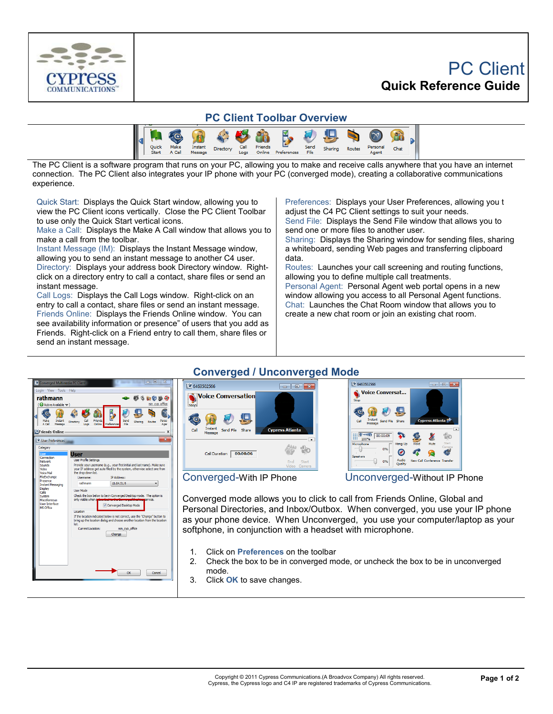

## PC Client **Quick Reference Guide**



The PC Client is a software program that runs on your PC, allowing you to make and receive calls anywhere that you have an internet connection. The PC Client also integrates your IP phone with your PC (converged mode), creating a collaborative communications experience.

Quick Start: Displays the Quick Start window, allowing you to view the PC Client icons vertically. Close the PC Client Toolbar to use only the Quick Start vertical icons.

Make a Call: Displays the Make A Call window that allows you to make a call from the toolbar.

Instant Message (IM): Displays the Instant Message window, allowing you to send an instant message to another C4 user. Directory: Displays your address book Directory window. Rightclick on a directory entry to call a contact, share files or send an instant message.

Call Logs: Displays the Call Logs window. Right-click on an entry to call a contact, share files or send an instant message. Friends Online: Displays the Friends Online window. You can see availability information or presence" of users that you add as Friends. Right-click on a Friend entry to call them, share files or send an instant message.

Preferences: Displays your User Preferences, allowing you t adjust the C4 PC Client settings to suit your needs. Send File: Displays the Send File window that allows you to

send one or more files to another user. Sharing: Displays the Sharing window for sending files, sharing a whiteboard, sending Web pages and transferring clipboard data.

Routes: Launches your call screening and routing functions, allowing you to define multiple call treatments.

Personal Agent: Personal Agent web portal opens in a new window allowing you access to all Personal Agent functions. Chat: Launches the Chat Room window that allows you to create a new chat room or join an existing chat room.

## **Converged / Unconverged Mode**







Converged-With IP Phone Unconverged-Without IP Phone

Converged mode allows you to click to call from Friends Online, Global and Personal Directories, and Inbox/Outbox. When converged, you use your IP phone as your phone device. When Unconverged, you use your computer/laptop as your softphone, in conjunction with a headset with microphone.

- 1. Click on **Preferences** on the toolbar
- 2. Check the box to be in converged mode, or uncheck the box to be in unconverged mode.
- 3. Click **OK** to save changes.